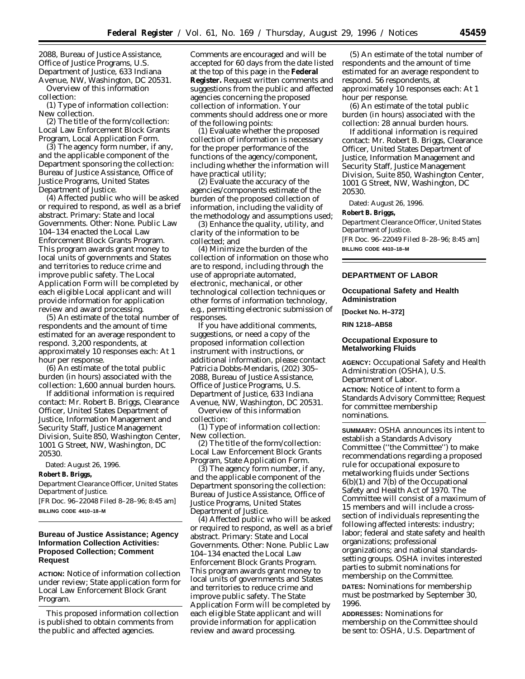2088, Bureau of Justice Assistance, Office of Justice Programs, U.S. Department of Justice, 633 Indiana Avenue, NW, Washington, DC 20531.

Overview of this information collection:

(1) Type of information collection: New collection.

(2) The title of the form/collection: Local Law Enforcement Block Grants Program, Local Application Form.

(3) The agency form number, if any, and the applicable component of the Department sponsoring the collection: Bureau of Justice Assistance, Office of Justice Programs, United States Department of Justice.

(4) Affected public who will be asked or required to respond, as well as a brief abstract. Primary: State and local Governments. Other: None. Public Law 104–134 enacted the Local Law Enforcement Block Grants Program. This program awards grant money to local units of governments and States and territories to reduce crime and improve public safety. The Local Application Form will be completed by each eligible Local applicant and will provide information for application review and award processing.

(5) An estimate of the total number of respondents and the amount of time estimated for an average respondent to respond. 3,200 respondents, at approximately 10 responses each: At 1 hour per response.

(6) An estimate of the total public burden (in hours) associated with the collection: 1,600 annual burden hours.

If additional information is required contact: Mr. Robert B. Briggs, Clearance Officer, United States Department of Justice, Information Management and Security Staff, Justice Management Division, Suite 850, Washington Center, 1001 G Street, NW, Washington, DC 20530.

Dated: August 26, 1996.

**Robert B. Briggs,**

*Department Clearance Officer, United States Department of Justice.*

[FR Doc. 96–22048 Filed 8–28–96; 8:45 am] **BILLING CODE 4410–18–M**

## **Bureau of Justice Assistance; Agency Information Collection Activities: Proposed Collection; Comment Request**

**ACTION:** Notice of information collection under review; State application form for Local Law Enforcement Block Grant Program.

This proposed information collection is published to obtain comments from the public and affected agencies.

Comments are encouraged and will be accepted for 60 days from the date listed at the top of this page in the **Federal Register.** Request written comments and suggestions from the public and affected agencies concerning the proposed collection of information. Your comments should address one or more of the following points:

(1) Evaluate whether the proposed collection of information is necessary for the proper performance of the functions of the agency/component, including whether the information will have practical utility;

(2) Evaluate the accuracy of the agencies/components estimate of the burden of the proposed collection of information, including the validity of the methodology and assumptions used;

(3) Enhance the quality, utility, and clarity of the information to be collected; and

(4) Minimize the burden of the collection of information on those who are to respond, including through the use of appropriate automated, electronic, mechanical, or other technological collection techniques or other forms of information technology, e.g., permitting electronic submission of responses.

If you have additional comments, suggestions, or need a copy of the proposed information collection instrument with instructions, or additional information, please contact Patricia Dobbs-Mendaris, (202) 305– 2088, Bureau of Justice Assistance, Office of Justice Programs, U.S. Department of Justice, 633 Indiana

Avenue, NW, Washington, DC 20531. Overview of this information collection:

(1) Type of information collection: New collection.

(2) The title of the form/collection: Local Law Enforcement Block Grants Program, State Application Form.

(3) The agency form number, if any, and the applicable component of the Department sponsoring the collection: Bureau of Justice Assistance, Office of Justice Programs, United States Department of Justice.

(4) Affected public who will be asked or required to respond, as well as a brief abstract. Primary: State and Local Governments. Other: None. Public Law 104–134 enacted the Local Law Enforcement Block Grants Program. This program awards grant money to local units of governments and States and territories to reduce crime and improve public safety. The State Application Form will be completed by each eligible State applicant and will provide information for application review and award processing.

(5) An estimate of the total number of respondents and the amount of time estimated for an average respondent to respond. 56 respondents, at approximately 10 responses each: At 1 hour per response.

(6) An estimate of the total public burden (in hours) associated with the collection: 28 annual burden hours.

If additional information is required contact: Mr. Robert B. Briggs, Clearance Officer, United States Department of Justice, Information Management and Security Staff, Justice Management Division, Suite 850, Washington Center, 1001 G Street, NW, Washington, DC 20530.

Dated: August 26, 1996.

#### **Robert B. Briggs,**

*Department Clearance Officer, United States Department of Justice.*

[FR Doc. 96–22049 Filed 8–28–96; 8:45 am] **BILLING CODE 4410–18–M**

### **DEPARTMENT OF LABOR**

## **Occupational Safety and Health Administration**

**[Docket No. H–372]**

**RIN 1218–AB58**

## **Occupational Exposure to Metalworking Fluids**

**AGENCY:** Occupational Safety and Health Administration (OSHA), U.S. Department of Labor.

**ACTION:** Notice of intent to form a Standards Advisory Committee; Request for committee membership nominations.

**SUMMARY:** OSHA announces its intent to establish a Standards Advisory Committee (''the Committee'') to make recommendations regarding a proposed rule for occupational exposure to metalworking fluids under Sections 6(b)(1) and 7(b) of the Occupational Safety and Health Act of 1970. The Committee will consist of a maximum of 15 members and will include a crosssection of individuals representing the following affected interests: industry; labor; federal and state safety and health organizations; professional organizations; and national standardssetting groups. OSHA invites interested parties to submit nominations for membership on the Committee.

**DATES:** Nominations for membership must be postmarked by September 30, 1996.

**ADDRESSES:** Nominations for membership on the Committee should be sent to: OSHA, U.S. Department of